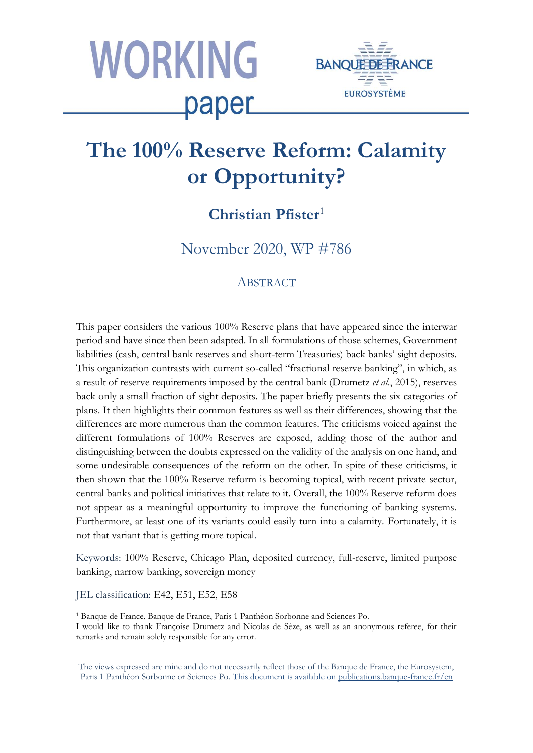



# **The 100% Reserve Reform: Calamity or Opportunity?**

## **Christian Pfister**<sup>1</sup>

November 2020, WP #786

### **ABSTRACT**

This paper considers the various 100% Reserve plans that have appeared since the interwar period and have since then been adapted. In all formulations of those schemes, Government liabilities (cash, central bank reserves and short-term Treasuries) back banks' sight deposits. This organization contrasts with current so-called "fractional reserve banking", in which, as a result of reserve requirements imposed by the central bank (Drumetz *et al*., 2015), reserves back only a small fraction of sight deposits. The paper briefly presents the six categories of plans. It then highlights their common features as well as their differences, showing that the differences are more numerous than the common features. The criticisms voiced against the different formulations of 100% Reserves are exposed, adding those of the author and distinguishing between the doubts expressed on the validity of the analysis on one hand, and some undesirable consequences of the reform on the other. In spite of these criticisms, it then shown that the 100% Reserve reform is becoming topical, with recent private sector, central banks and political initiatives that relate to it. Overall, the 100% Reserve reform does not appear as a meaningful opportunity to improve the functioning of banking systems. Furthermore, at least one of its variants could easily turn into a calamity. Fortunately, it is not that variant that is getting more topical.

Keywords: 100% Reserve, Chicago Plan, deposited currency, full-reserve, limited purpose banking, narrow banking, sovereign money

JEL classification: E42, E51, E52, E58

<sup>1</sup> Banque de France, Banque de France, Paris 1 Panthéon Sorbonne and Sciences Po. I would like to thank Françoise Drumetz and Nicolas de Sèze, as well as an anonymous referee, for their remarks and remain solely responsible for any error.

The views expressed are mine and do not necessarily reflect those of the Banque de France, the Eurosystem, Paris 1 Panthéon Sorbonne or Sciences Po. This document is available on [publications.banque-france.fr/en](https://publications.banque-france.fr/en)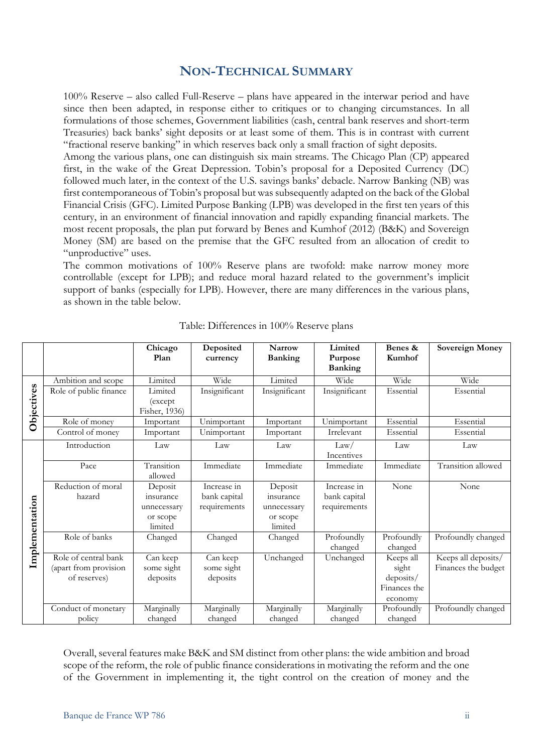### **NON-TECHNICAL SUMMARY**

100% Reserve – also called Full-Reserve – plans have appeared in the interwar period and have since then been adapted, in response either to critiques or to changing circumstances. In all formulations of those schemes, Government liabilities (cash, central bank reserves and short-term Treasuries) back banks' sight deposits or at least some of them. This is in contrast with current "fractional reserve banking" in which reserves back only a small fraction of sight deposits.

Among the various plans, one can distinguish six main streams. The Chicago Plan (CP) appeared first, in the wake of the Great Depression. Tobin's proposal for a Deposited Currency (DC) followed much later, in the context of the U.S. savings banks' debacle. Narrow Banking (NB) was first contemporaneous of Tobin's proposal but was subsequently adapted on the back of the Global Financial Crisis (GFC). Limited Purpose Banking (LPB) was developed in the first ten years of this century, in an environment of financial innovation and rapidly expanding financial markets. The most recent proposals, the plan put forward by Benes and Kumhof (2012) (B&K) and Sovereign Money (SM) are based on the premise that the GFC resulted from an allocation of credit to "unproductive" uses.

The common motivations of 100% Reserve plans are twofold: make narrow money more controllable (except for LPB); and reduce moral hazard related to the government's implicit support of banks (especially for LPB). However, there are many differences in the various plans, as shown in the table below.

|                |                                                               | Chicago<br>Plan                                            | Deposited<br>currency                       | <b>Narrow</b><br><b>Banking</b>                            | Limited<br>Purpose<br><b>Banking</b>        | Benes &<br>Kumhof                                          | <b>Sovereign Money</b>                     |
|----------------|---------------------------------------------------------------|------------------------------------------------------------|---------------------------------------------|------------------------------------------------------------|---------------------------------------------|------------------------------------------------------------|--------------------------------------------|
|                | Ambition and scope                                            | Limited                                                    | Wide                                        | Limited                                                    | Wide                                        | Wide                                                       | Wide                                       |
| Objectives     | Role of public finance                                        | Limited<br>(except)<br>Fisher, 1936)                       | Insignificant                               | Insignificant                                              | Insignificant                               | Essential                                                  | Essential                                  |
|                | Role of money                                                 | Important                                                  | Unimportant                                 | Important                                                  | Unimportant                                 | Essential                                                  | Essential                                  |
|                | Control of money                                              | Important                                                  | Unimportant                                 | Important                                                  | Irrelevant                                  | Essential                                                  | Essential                                  |
| Implementation | Introduction                                                  | Law                                                        | Law                                         | Law                                                        | Law/<br>Incentives                          | Law                                                        | Law                                        |
|                | Pace                                                          | Transition<br>allowed                                      | Immediate                                   | Immediate                                                  | Immediate                                   | Immediate                                                  | Transition allowed                         |
|                | Reduction of moral<br>hazard                                  | Deposit<br>insurance<br>unnecessary<br>or scope<br>limited | Increase in<br>bank capital<br>requirements | Deposit<br>insurance<br>unnecessary<br>or scope<br>limited | Increase in<br>bank capital<br>requirements | None                                                       | None                                       |
|                | Role of banks                                                 | Changed                                                    | Changed                                     | Changed                                                    | Profoundly<br>changed                       | Profoundly<br>changed                                      | Profoundly changed                         |
|                | Role of central bank<br>(apart from provision<br>of reserves) | Can keep<br>some sight<br>deposits                         | Can keep<br>some sight<br>deposits          | Unchanged                                                  | Unchanged                                   | Keeps all<br>sight<br>deposits/<br>Finances the<br>economy | Keeps all deposits/<br>Finances the budget |
|                | Conduct of monetary<br>policy                                 | Marginally<br>changed                                      | Marginally<br>changed                       | Marginally<br>changed                                      | Marginally<br>changed                       | Profoundly<br>changed                                      | Profoundly changed                         |

Table: Differences in 100% Reserve plans

Overall, several features make B&K and SM distinct from other plans: the wide ambition and broad scope of the reform, the role of public finance considerations in motivating the reform and the one of the Government in implementing it, the tight control on the creation of money and the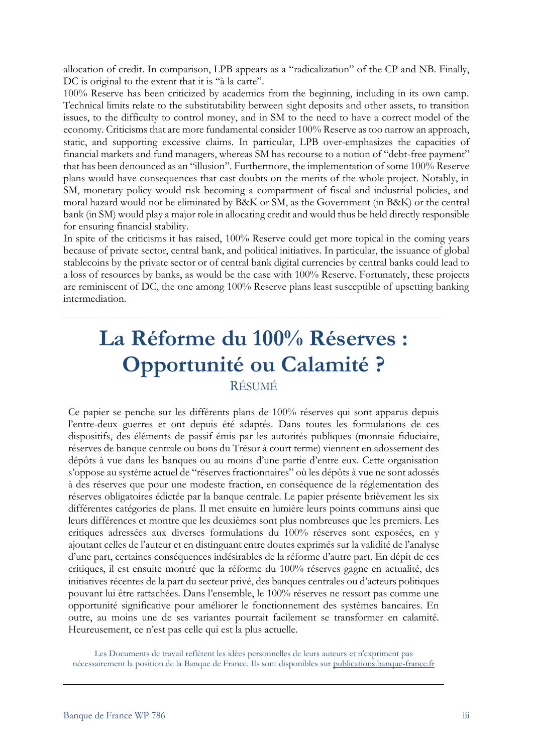allocation of credit. In comparison, LPB appears as a "radicalization" of the CP and NB. Finally, DC is original to the extent that it is "à la carte".

100% Reserve has been criticized by academics from the beginning, including in its own camp. Technical limits relate to the substitutability between sight deposits and other assets, to transition issues, to the difficulty to control money, and in SM to the need to have a correct model of the economy. Criticisms that are more fundamental consider 100% Reserve as too narrow an approach, static, and supporting excessive claims. In particular, LPB over-emphasizes the capacities of financial markets and fund managers, whereas SM has recourse to a notion of "debt-free payment" that has been denounced as an "illusion". Furthermore, the implementation of some 100% Reserve plans would have consequences that cast doubts on the merits of the whole project. Notably, in SM, monetary policy would risk becoming a compartment of fiscal and industrial policies, and moral hazard would not be eliminated by B&K or SM, as the Government (in B&K) or the central bank (in SM) would play a major role in allocating credit and would thus be held directly responsible for ensuring financial stability.

In spite of the criticisms it has raised, 100% Reserve could get more topical in the coming years because of private sector, central bank, and political initiatives. In particular, the issuance of global stablecoins by the private sector or of central bank digital currencies by central banks could lead to a loss of resources by banks, as would be the case with 100% Reserve. Fortunately, these projects are reminiscent of DC, the one among 100% Reserve plans least susceptible of upsetting banking intermediation.

# **La Réforme du 100% Réserves : Opportunité ou Calamité ?** RÉSUMÉ

Ce papier se penche sur les différents plans de 100% réserves qui sont apparus depuis l'entre-deux guerres et ont depuis été adaptés. Dans toutes les formulations de ces dispositifs, des éléments de passif émis par les autorités publiques (monnaie fiduciaire, réserves de banque centrale ou bons du Trésor à court terme) viennent en adossement des dépôts à vue dans les banques ou au moins d'une partie d'entre eux. Cette organisation s'oppose au système actuel de "réserves fractionnaires" où les dépôts à vue ne sont adossés à des réserves que pour une modeste fraction, en conséquence de la réglementation des réserves obligatoires édictée par la banque centrale. Le papier présente brièvement les six différentes catégories de plans. Il met ensuite en lumière leurs points communs ainsi que leurs différences et montre que les deuxièmes sont plus nombreuses que les premiers. Les critiques adressées aux diverses formulations du 100% réserves sont exposées, en y ajoutant celles de l'auteur et en distinguant entre doutes exprimés sur la validité de l'analyse d'une part, certaines conséquences indésirables de la réforme d'autre part. En dépit de ces critiques, il est ensuite montré que la réforme du 100% réserves gagne en actualité, des initiatives récentes de la part du secteur privé, des banques centrales ou d'acteurs politiques pouvant lui être rattachées. Dans l'ensemble, le 100% réserves ne ressort pas comme une opportunité significative pour améliorer le fonctionnement des systèmes bancaires. En outre, au moins une de ses variantes pourrait facilement se transformer en calamité. Heureusement, ce n'est pas celle qui est la plus actuelle.

Les Documents de travail reflètent les idées personnelles de leurs auteurs et n'expriment pas nécessairement la position de la Banque de France. Ils sont disponibles sur [publications.banque-france.fr](https://publications.banque-france.fr/)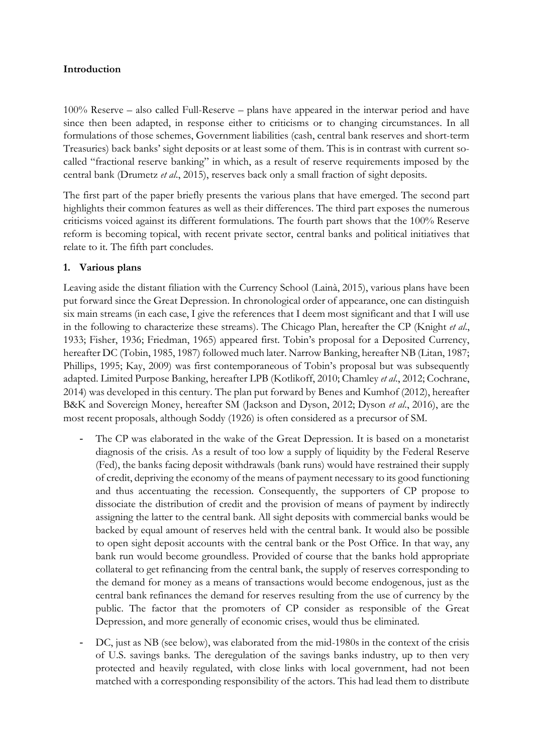#### **Introduction**

100% Reserve – also called Full-Reserve – plans have appeared in the interwar period and have since then been adapted, in response either to criticisms or to changing circumstances. In all formulations of those schemes, Government liabilities (cash, central bank reserves and short-term Treasuries) back banks' sight deposits or at least some of them. This is in contrast with current socalled "fractional reserve banking" in which, as a result of reserve requirements imposed by the central bank (Drumetz *et al*., 2015), reserves back only a small fraction of sight deposits.

The first part of the paper briefly presents the various plans that have emerged. The second part highlights their common features as well as their differences. The third part exposes the numerous criticisms voiced against its different formulations. The fourth part shows that the 100% Reserve reform is becoming topical, with recent private sector, central banks and political initiatives that relate to it. The fifth part concludes.

#### **1. Various plans**

Leaving aside the distant filiation with the Currency School (Lainà, 2015), various plans have been put forward since the Great Depression. In chronological order of appearance, one can distinguish six main streams (in each case, I give the references that I deem most significant and that I will use in the following to characterize these streams). The Chicago Plan, hereafter the CP (Knight *et al*., 1933; Fisher, 1936; Friedman, 1965) appeared first. Tobin's proposal for a Deposited Currency, hereafter DC (Tobin, 1985, 1987) followed much later. Narrow Banking, hereafter NB (Litan, 1987; Phillips, 1995; Kay, 2009) was first contemporaneous of Tobin's proposal but was subsequently adapted. Limited Purpose Banking, hereafter LPB (Kotlikoff, 2010; Chamley *et al*., 2012; Cochrane, 2014) was developed in this century. The plan put forward by Benes and Kumhof (2012), hereafter B&K and Sovereign Money, hereafter SM (Jackson and Dyson, 2012; Dyson *et al*., 2016), are the most recent proposals, although Soddy (1926) is often considered as a precursor of SM.

- The CP was elaborated in the wake of the Great Depression. It is based on a monetarist diagnosis of the crisis. As a result of too low a supply of liquidity by the Federal Reserve (Fed), the banks facing deposit withdrawals (bank runs) would have restrained their supply of credit, depriving the economy of the means of payment necessary to its good functioning and thus accentuating the recession. Consequently, the supporters of CP propose to dissociate the distribution of credit and the provision of means of payment by indirectly assigning the latter to the central bank. All sight deposits with commercial banks would be backed by equal amount of reserves held with the central bank. It would also be possible to open sight deposit accounts with the central bank or the Post Office. In that way, any bank run would become groundless. Provided of course that the banks hold appropriate collateral to get refinancing from the central bank, the supply of reserves corresponding to the demand for money as a means of transactions would become endogenous, just as the central bank refinances the demand for reserves resulting from the use of currency by the public. The factor that the promoters of CP consider as responsible of the Great Depression, and more generally of economic crises, would thus be eliminated.
- DC, just as NB (see below), was elaborated from the mid-1980s in the context of the crisis of U.S. savings banks. The deregulation of the savings banks industry, up to then very protected and heavily regulated, with close links with local government, had not been matched with a corresponding responsibility of the actors. This had lead them to distribute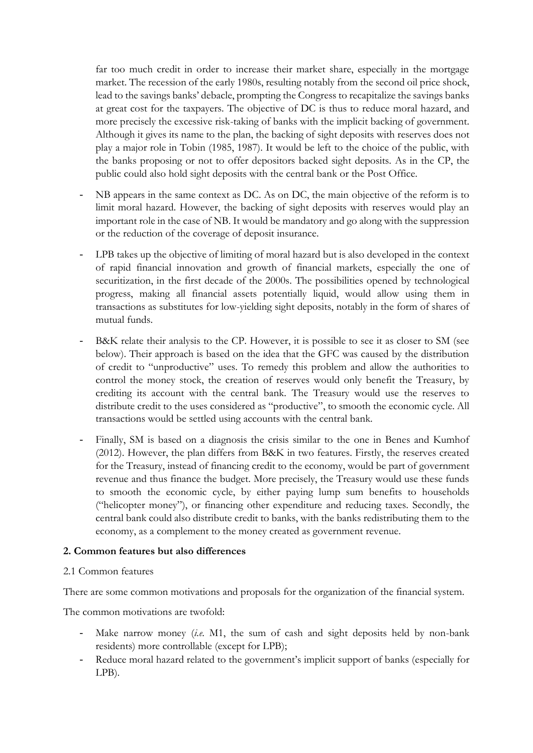far too much credit in order to increase their market share, especially in the mortgage market. The recession of the early 1980s, resulting notably from the second oil price shock, lead to the savings banks' debacle, prompting the Congress to recapitalize the savings banks at great cost for the taxpayers. The objective of DC is thus to reduce moral hazard, and more precisely the excessive risk-taking of banks with the implicit backing of government. Although it gives its name to the plan, the backing of sight deposits with reserves does not play a major role in Tobin (1985, 1987). It would be left to the choice of the public, with the banks proposing or not to offer depositors backed sight deposits. As in the CP, the public could also hold sight deposits with the central bank or the Post Office.

- NB appears in the same context as DC. As on DC, the main objective of the reform is to limit moral hazard. However, the backing of sight deposits with reserves would play an important role in the case of NB. It would be mandatory and go along with the suppression or the reduction of the coverage of deposit insurance.
- LPB takes up the objective of limiting of moral hazard but is also developed in the context of rapid financial innovation and growth of financial markets, especially the one of securitization, in the first decade of the 2000s. The possibilities opened by technological progress, making all financial assets potentially liquid, would allow using them in transactions as substitutes for low-yielding sight deposits, notably in the form of shares of mutual funds.
- B&K relate their analysis to the CP. However, it is possible to see it as closer to SM (see below). Their approach is based on the idea that the GFC was caused by the distribution of credit to "unproductive" uses. To remedy this problem and allow the authorities to control the money stock, the creation of reserves would only benefit the Treasury, by crediting its account with the central bank. The Treasury would use the reserves to distribute credit to the uses considered as "productive", to smooth the economic cycle. All transactions would be settled using accounts with the central bank.
- Finally, SM is based on a diagnosis the crisis similar to the one in Benes and Kumhof (2012). However, the plan differs from B&K in two features. Firstly, the reserves created for the Treasury, instead of financing credit to the economy, would be part of government revenue and thus finance the budget. More precisely, the Treasury would use these funds to smooth the economic cycle, by either paying lump sum benefits to households ("helicopter money"), or financing other expenditure and reducing taxes. Secondly, the central bank could also distribute credit to banks, with the banks redistributing them to the economy, as a complement to the money created as government revenue.

#### **2. Common features but also differences**

#### 2.1 Common features

There are some common motivations and proposals for the organization of the financial system.

The common motivations are twofold:

- Make narrow money (*i.e*. M1, the sum of cash and sight deposits held by non-bank residents) more controllable (except for LPB);
- Reduce moral hazard related to the government's implicit support of banks (especially for LPB).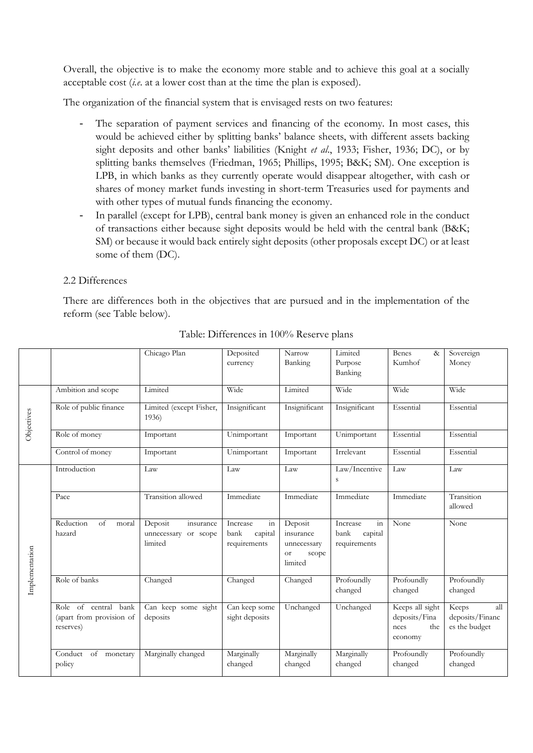Overall, the objective is to make the economy more stable and to achieve this goal at a socially acceptable cost (*i.e*. at a lower cost than at the time the plan is exposed).

The organization of the financial system that is envisaged rests on two features:

- The separation of payment services and financing of the economy. In most cases, this would be achieved either by splitting banks' balance sheets, with different assets backing sight deposits and other banks' liabilities (Knight *et al*., 1933; Fisher, 1936; DC), or by splitting banks themselves (Friedman, 1965; Phillips, 1995; B&K; SM). One exception is LPB, in which banks as they currently operate would disappear altogether, with cash or shares of money market funds investing in short-term Treasuries used for payments and with other types of mutual funds financing the economy.
- In parallel (except for LPB), central bank money is given an enhanced role in the conduct of transactions either because sight deposits would be held with the central bank (B&K; SM) or because it would back entirely sight deposits (other proposals except DC) or at least some of them (DC).

#### 2.2 Differences

There are differences both in the objectives that are pursued and in the implementation of the reform (see Table below).

|                |                                                               | Chicago Plan                                               | Deposited<br>currency                                        | Narrow<br>Banking                                             | Limited<br>Purpose<br>Banking                                         | Benes<br>$\&$<br>Kumhof                                    | Sovereign<br>Money                               |
|----------------|---------------------------------------------------------------|------------------------------------------------------------|--------------------------------------------------------------|---------------------------------------------------------------|-----------------------------------------------------------------------|------------------------------------------------------------|--------------------------------------------------|
|                | Ambition and scope                                            | Limited                                                    | Wide                                                         | Limited                                                       | Wide                                                                  | Wide                                                       | Wide                                             |
| Objectives     | Role of public finance                                        | Limited (except Fisher,<br>1936)                           | Insignificant                                                | Insignificant                                                 | Insignificant                                                         | Essential                                                  | Essential                                        |
|                | Role of money                                                 | Important                                                  | Unimportant                                                  | Important                                                     | Unimportant                                                           | Essential                                                  | Essential                                        |
|                | Control of money                                              | Important                                                  | Unimportant                                                  | Important                                                     | Irrelevant                                                            | Essential                                                  | Essential                                        |
|                | Introduction                                                  | Law                                                        | Law                                                          | Law                                                           | Law/Incentive<br>S                                                    | Law                                                        | Law                                              |
|                | Pace                                                          | Transition allowed                                         | Immediate                                                    | Immediate                                                     | Immediate                                                             | Immediate                                                  | Transition<br>allowed                            |
| Implementation | Reduction<br>of<br>moral<br>hazard                            | Deposit<br>insurance<br>unnecessary<br>or scope<br>limited | Increase<br>$\frac{1}{1}$<br>capital<br>bank<br>requirements | Deposit<br>insurance<br>unnecessary<br>scope<br>or<br>limited | Increase<br>$\overline{\text{in}}$<br>bank<br>capital<br>requirements | None                                                       | None                                             |
|                | Role of banks                                                 | Changed                                                    | Changed                                                      | Changed                                                       | Profoundly<br>changed                                                 | Profoundly<br>changed                                      | Profoundly<br>changed                            |
|                | Role of central bank<br>(apart from provision of<br>reserves) | Can keep some sight<br>deposits                            | Can keep some<br>sight deposits                              | Unchanged                                                     | Unchanged                                                             | Keeps all sight<br>deposits/Fina<br>nces<br>the<br>economy | all<br>Keeps<br>deposits/Financ<br>es the budget |
|                | Conduct<br>of<br>monetary<br>policy                           | Marginally changed                                         | Marginally<br>changed                                        | Marginally<br>changed                                         | Marginally<br>changed                                                 | Profoundly<br>changed                                      | Profoundly<br>changed                            |

Table: Differences in 100% Reserve plans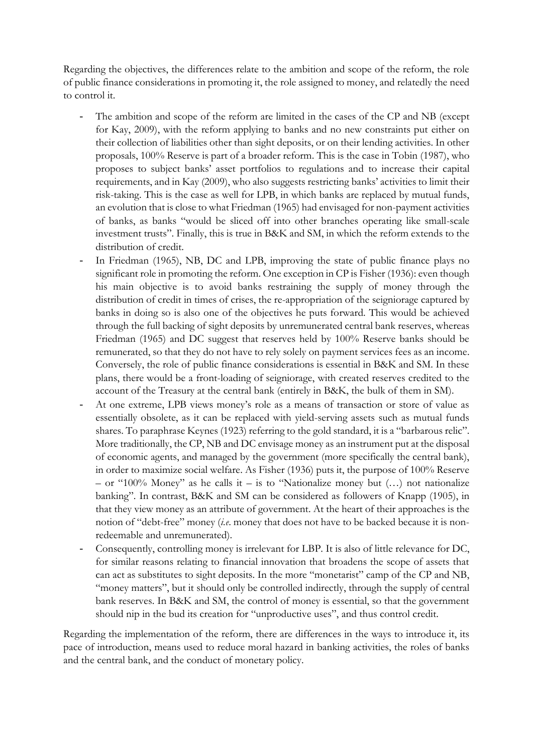Regarding the objectives, the differences relate to the ambition and scope of the reform, the role of public finance considerations in promoting it, the role assigned to money, and relatedly the need to control it.

- The ambition and scope of the reform are limited in the cases of the CP and NB (except for Kay, 2009), with the reform applying to banks and no new constraints put either on their collection of liabilities other than sight deposits, or on their lending activities. In other proposals, 100% Reserve is part of a broader reform. This is the case in Tobin (1987), who proposes to subject banks' asset portfolios to regulations and to increase their capital requirements, and in Kay (2009), who also suggests restricting banks' activities to limit their risk-taking. This is the case as well for LPB, in which banks are replaced by mutual funds, an evolution that is close to what Friedman (1965) had envisaged for non-payment activities of banks, as banks "would be sliced off into other branches operating like small-scale investment trusts". Finally, this is true in B&K and SM, in which the reform extends to the distribution of credit.
- In Friedman (1965), NB, DC and LPB, improving the state of public finance plays no significant role in promoting the reform. One exception in CP is Fisher (1936): even though his main objective is to avoid banks restraining the supply of money through the distribution of credit in times of crises, the re-appropriation of the seigniorage captured by banks in doing so is also one of the objectives he puts forward. This would be achieved through the full backing of sight deposits by unremunerated central bank reserves, whereas Friedman (1965) and DC suggest that reserves held by 100% Reserve banks should be remunerated, so that they do not have to rely solely on payment services fees as an income. Conversely, the role of public finance considerations is essential in B&K and SM. In these plans, there would be a front-loading of seigniorage, with created reserves credited to the account of the Treasury at the central bank (entirely in B&K, the bulk of them in SM).
- At one extreme, LPB views money's role as a means of transaction or store of value as essentially obsolete, as it can be replaced with yield-serving assets such as mutual funds shares. To paraphrase Keynes (1923) referring to the gold standard, it is a "barbarous relic". More traditionally, the CP, NB and DC envisage money as an instrument put at the disposal of economic agents, and managed by the government (more specifically the central bank), in order to maximize social welfare. As Fisher (1936) puts it, the purpose of 100% Reserve – or "100% Money" as he calls it – is to "Nationalize money but  $(...)$  not nationalize banking". In contrast, B&K and SM can be considered as followers of Knapp (1905), in that they view money as an attribute of government. At the heart of their approaches is the notion of "debt-free" money (*i.e*. money that does not have to be backed because it is nonredeemable and unremunerated).
- Consequently, controlling money is irrelevant for LBP. It is also of little relevance for DC, for similar reasons relating to financial innovation that broadens the scope of assets that can act as substitutes to sight deposits. In the more "monetarist" camp of the CP and NB, "money matters", but it should only be controlled indirectly, through the supply of central bank reserves. In B&K and SM, the control of money is essential, so that the government should nip in the bud its creation for "unproductive uses", and thus control credit.

Regarding the implementation of the reform, there are differences in the ways to introduce it, its pace of introduction, means used to reduce moral hazard in banking activities, the roles of banks and the central bank, and the conduct of monetary policy.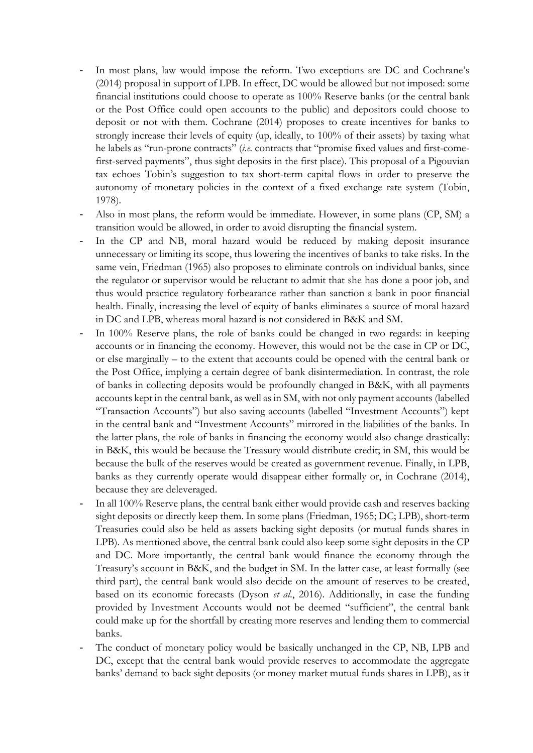- In most plans, law would impose the reform. Two exceptions are DC and Cochrane's (2014) proposal in support of LPB. In effect, DC would be allowed but not imposed: some financial institutions could choose to operate as 100% Reserve banks (or the central bank or the Post Office could open accounts to the public) and depositors could choose to deposit or not with them. Cochrane (2014) proposes to create incentives for banks to strongly increase their levels of equity (up, ideally, to 100% of their assets) by taxing what he labels as "run-prone contracts" (*i.e.* contracts that "promise fixed values and first-comefirst-served payments", thus sight deposits in the first place). This proposal of a Pigouvian tax echoes Tobin's suggestion to tax short-term capital flows in order to preserve the autonomy of monetary policies in the context of a fixed exchange rate system (Tobin, 1978).
- Also in most plans, the reform would be immediate. However, in some plans (CP, SM) a transition would be allowed, in order to avoid disrupting the financial system.
- In the CP and NB, moral hazard would be reduced by making deposit insurance unnecessary or limiting its scope, thus lowering the incentives of banks to take risks. In the same vein, Friedman (1965) also proposes to eliminate controls on individual banks, since the regulator or supervisor would be reluctant to admit that she has done a poor job, and thus would practice regulatory forbearance rather than sanction a bank in poor financial health. Finally, increasing the level of equity of banks eliminates a source of moral hazard in DC and LPB, whereas moral hazard is not considered in B&K and SM.
- In 100% Reserve plans, the role of banks could be changed in two regards: in keeping accounts or in financing the economy. However, this would not be the case in CP or DC, or else marginally – to the extent that accounts could be opened with the central bank or the Post Office, implying a certain degree of bank disintermediation. In contrast, the role of banks in collecting deposits would be profoundly changed in B&K, with all payments accounts kept in the central bank, as well as in SM, with not only payment accounts (labelled "Transaction Accounts") but also saving accounts (labelled "Investment Accounts") kept in the central bank and "Investment Accounts" mirrored in the liabilities of the banks. In the latter plans, the role of banks in financing the economy would also change drastically: in B&K, this would be because the Treasury would distribute credit; in SM, this would be because the bulk of the reserves would be created as government revenue. Finally, in LPB, banks as they currently operate would disappear either formally or, in Cochrane (2014), because they are deleveraged.
- In all 100% Reserve plans, the central bank either would provide cash and reserves backing sight deposits or directly keep them. In some plans (Friedman, 1965; DC; LPB), short-term Treasuries could also be held as assets backing sight deposits (or mutual funds shares in LPB). As mentioned above, the central bank could also keep some sight deposits in the CP and DC. More importantly, the central bank would finance the economy through the Treasury's account in B&K, and the budget in SM. In the latter case, at least formally (see third part), the central bank would also decide on the amount of reserves to be created, based on its economic forecasts (Dyson *et al*., 2016). Additionally, in case the funding provided by Investment Accounts would not be deemed "sufficient", the central bank could make up for the shortfall by creating more reserves and lending them to commercial banks.
- The conduct of monetary policy would be basically unchanged in the CP, NB, LPB and DC, except that the central bank would provide reserves to accommodate the aggregate banks' demand to back sight deposits (or money market mutual funds shares in LPB), as it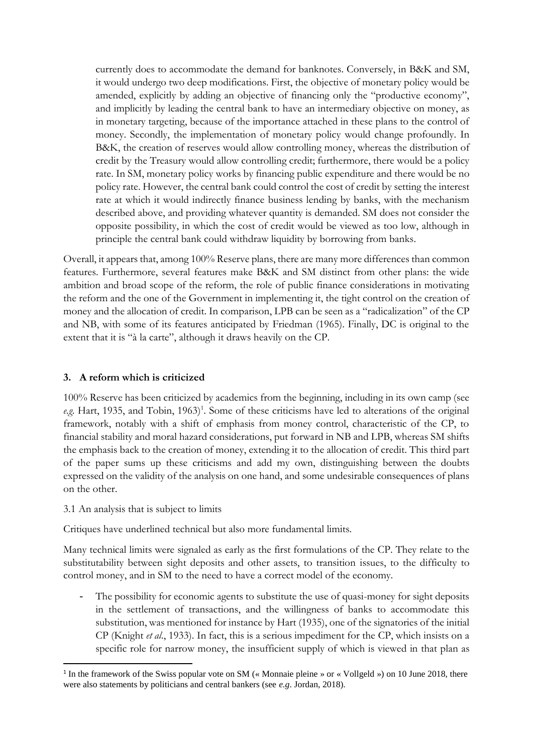currently does to accommodate the demand for banknotes. Conversely, in B&K and SM, it would undergo two deep modifications. First, the objective of monetary policy would be amended, explicitly by adding an objective of financing only the "productive economy", and implicitly by leading the central bank to have an intermediary objective on money, as in monetary targeting, because of the importance attached in these plans to the control of money. Secondly, the implementation of monetary policy would change profoundly. In B&K, the creation of reserves would allow controlling money, whereas the distribution of credit by the Treasury would allow controlling credit; furthermore, there would be a policy rate. In SM, monetary policy works by financing public expenditure and there would be no policy rate. However, the central bank could control the cost of credit by setting the interest rate at which it would indirectly finance business lending by banks, with the mechanism described above, and providing whatever quantity is demanded. SM does not consider the opposite possibility, in which the cost of credit would be viewed as too low, although in principle the central bank could withdraw liquidity by borrowing from banks.

Overall, it appears that, among 100% Reserve plans, there are many more differences than common features. Furthermore, several features make B&K and SM distinct from other plans: the wide ambition and broad scope of the reform, the role of public finance considerations in motivating the reform and the one of the Government in implementing it, the tight control on the creation of money and the allocation of credit. In comparison, LPB can be seen as a "radicalization" of the CP and NB, with some of its features anticipated by Friedman (1965). Finally, DC is original to the extent that it is "à la carte", although it draws heavily on the CP.

#### **3. A reform which is criticized**

100% Reserve has been criticized by academics from the beginning, including in its own camp (see e.g. Hart, 1935, and Tobin, 1963)<sup>1</sup>. Some of these criticisms have led to alterations of the original framework, notably with a shift of emphasis from money control, characteristic of the CP, to financial stability and moral hazard considerations, put forward in NB and LPB, whereas SM shifts the emphasis back to the creation of money, extending it to the allocation of credit. This third part of the paper sums up these criticisms and add my own, distinguishing between the doubts expressed on the validity of the analysis on one hand, and some undesirable consequences of plans on the other.

3.1 An analysis that is subject to limits

 $\overline{\phantom{a}}$ 

Critiques have underlined technical but also more fundamental limits.

Many technical limits were signaled as early as the first formulations of the CP. They relate to the substitutability between sight deposits and other assets, to transition issues, to the difficulty to control money, and in SM to the need to have a correct model of the economy.

The possibility for economic agents to substitute the use of quasi-money for sight deposits in the settlement of transactions, and the willingness of banks to accommodate this substitution, was mentioned for instance by Hart (1935), one of the signatories of the initial CP (Knight *et al*., 1933). In fact, this is a serious impediment for the CP, which insists on a specific role for narrow money, the insufficient supply of which is viewed in that plan as

<sup>&</sup>lt;sup>1</sup> In the framework of the Swiss popular vote on SM (« Monnaie pleine » or « Vollgeld ») on 10 June 2018, there were also statements by politicians and central bankers (see *e.g*. Jordan, 2018).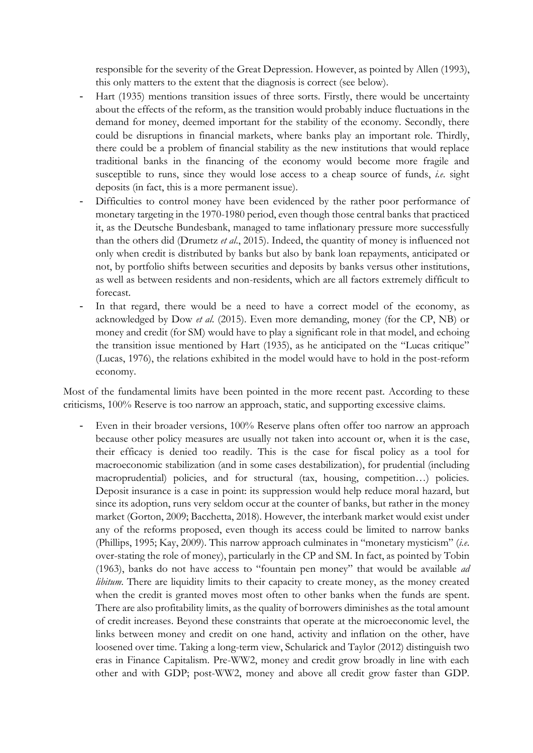responsible for the severity of the Great Depression. However, as pointed by Allen (1993), this only matters to the extent that the diagnosis is correct (see below).

- Hart (1935) mentions transition issues of three sorts. Firstly, there would be uncertainty about the effects of the reform, as the transition would probably induce fluctuations in the demand for money, deemed important for the stability of the economy. Secondly, there could be disruptions in financial markets, where banks play an important role. Thirdly, there could be a problem of financial stability as the new institutions that would replace traditional banks in the financing of the economy would become more fragile and susceptible to runs, since they would lose access to a cheap source of funds, *i.e*. sight deposits (in fact, this is a more permanent issue).
- Difficulties to control money have been evidenced by the rather poor performance of monetary targeting in the 1970-1980 period, even though those central banks that practiced it, as the Deutsche Bundesbank, managed to tame inflationary pressure more successfully than the others did (Drumetz *et al*., 2015). Indeed, the quantity of money is influenced not only when credit is distributed by banks but also by bank loan repayments, anticipated or not, by portfolio shifts between securities and deposits by banks versus other institutions, as well as between residents and non-residents, which are all factors extremely difficult to forecast.
- In that regard, there would be a need to have a correct model of the economy, as acknowledged by Dow *et al*. (2015). Even more demanding, money (for the CP, NB) or money and credit (for SM) would have to play a significant role in that model, and echoing the transition issue mentioned by Hart (1935), as he anticipated on the "Lucas critique" (Lucas, 1976), the relations exhibited in the model would have to hold in the post-reform economy.

Most of the fundamental limits have been pointed in the more recent past. According to these criticisms, 100% Reserve is too narrow an approach, static, and supporting excessive claims.

Even in their broader versions, 100% Reserve plans often offer too narrow an approach because other policy measures are usually not taken into account or, when it is the case, their efficacy is denied too readily. This is the case for fiscal policy as a tool for macroeconomic stabilization (and in some cases destabilization), for prudential (including macroprudential) policies, and for structural (tax, housing, competition...) policies. Deposit insurance is a case in point: its suppression would help reduce moral hazard, but since its adoption, runs very seldom occur at the counter of banks, but rather in the money market (Gorton, 2009; Bacchetta, 2018). However, the interbank market would exist under any of the reforms proposed, even though its access could be limited to narrow banks (Phillips, 1995; Kay, 2009). This narrow approach culminates in "monetary mysticism" (*i.e*. over-stating the role of money), particularly in the CP and SM. In fact, as pointed by Tobin (1963), banks do not have access to "fountain pen money" that would be available *ad libitum*. There are liquidity limits to their capacity to create money, as the money created when the credit is granted moves most often to other banks when the funds are spent. There are also profitability limits, as the quality of borrowers diminishes as the total amount of credit increases. Beyond these constraints that operate at the microeconomic level, the links between money and credit on one hand, activity and inflation on the other, have loosened over time. Taking a long-term view, Schularick and Taylor (2012) distinguish two eras in Finance Capitalism. Pre-WW2, money and credit grow broadly in line with each other and with GDP; post-WW2, money and above all credit grow faster than GDP.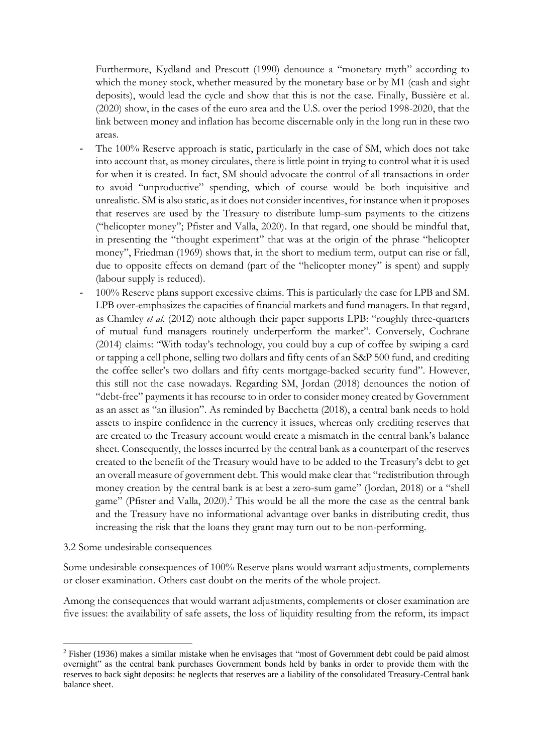Furthermore, Kydland and Prescott (1990) denounce a "monetary myth" according to which the money stock, whether measured by the monetary base or by M1 (cash and sight deposits), would lead the cycle and show that this is not the case. Finally, Bussière et al. (2020) show, in the cases of the euro area and the U.S. over the period 1998-2020, that the link between money and inflation has become discernable only in the long run in these two areas.

- The 100% Reserve approach is static, particularly in the case of SM, which does not take into account that, as money circulates, there is little point in trying to control what it is used for when it is created. In fact, SM should advocate the control of all transactions in order to avoid "unproductive" spending, which of course would be both inquisitive and unrealistic. SM is also static, as it does not consider incentives, for instance when it proposes that reserves are used by the Treasury to distribute lump-sum payments to the citizens ("helicopter money"; Pfister and Valla, 2020). In that regard, one should be mindful that, in presenting the "thought experiment" that was at the origin of the phrase "helicopter money", Friedman (1969) shows that, in the short to medium term, output can rise or fall, due to opposite effects on demand (part of the "helicopter money" is spent) and supply (labour supply is reduced).
- 100% Reserve plans support excessive claims. This is particularly the case for LPB and SM. LPB over-emphasizes the capacities of financial markets and fund managers. In that regard, as Chamley *et al*. (2012) note although their paper supports LPB: "roughly three-quarters of mutual fund managers routinely underperform the market". Conversely, Cochrane (2014) claims: "With today's technology, you could buy a cup of coffee by swiping a card or tapping a cell phone, selling two dollars and fifty cents of an S&P 500 fund, and crediting the coffee seller's two dollars and fifty cents mortgage-backed security fund". However, this still not the case nowadays. Regarding SM, Jordan (2018) denounces the notion of "debt-free" payments it has recourse to in order to consider money created by Government as an asset as "an illusion". As reminded by Bacchetta (2018), a central bank needs to hold assets to inspire confidence in the currency it issues, whereas only crediting reserves that are created to the Treasury account would create a mismatch in the central bank's balance sheet. Consequently, the losses incurred by the central bank as a counterpart of the reserves created to the benefit of the Treasury would have to be added to the Treasury's debt to get an overall measure of government debt. This would make clear that "redistribution through money creation by the central bank is at best a zero-sum game" (Jordan, 2018) or a "shell game" (Pfister and Valla, 2020).<sup>2</sup> This would be all the more the case as the central bank and the Treasury have no informational advantage over banks in distributing credit, thus increasing the risk that the loans they grant may turn out to be non-performing.

#### 3.2 Some undesirable consequences

**.** 

Some undesirable consequences of 100% Reserve plans would warrant adjustments, complements or closer examination. Others cast doubt on the merits of the whole project.

Among the consequences that would warrant adjustments, complements or closer examination are five issues: the availability of safe assets, the loss of liquidity resulting from the reform, its impact

<sup>&</sup>lt;sup>2</sup> Fisher (1936) makes a similar mistake when he envisages that "most of Government debt could be paid almost overnight" as the central bank purchases Government bonds held by banks in order to provide them with the reserves to back sight deposits: he neglects that reserves are a liability of the consolidated Treasury-Central bank balance sheet.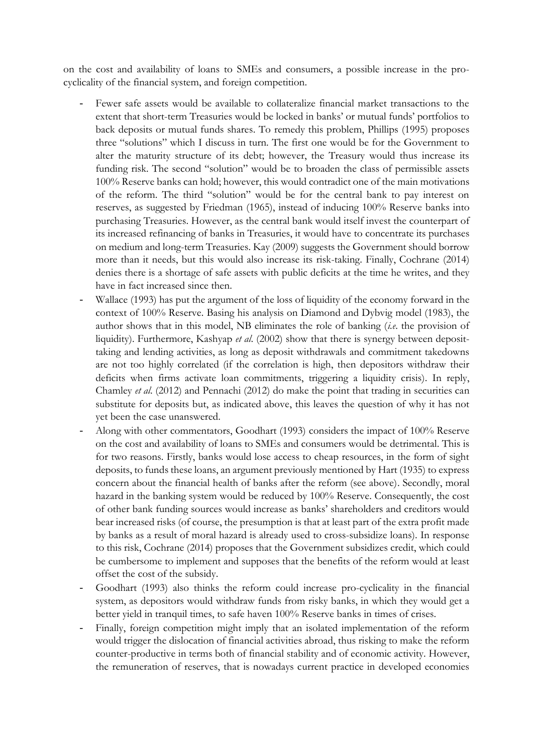on the cost and availability of loans to SMEs and consumers, a possible increase in the procyclicality of the financial system, and foreign competition.

- Fewer safe assets would be available to collateralize financial market transactions to the extent that short-term Treasuries would be locked in banks' or mutual funds' portfolios to back deposits or mutual funds shares. To remedy this problem, Phillips (1995) proposes three "solutions" which I discuss in turn. The first one would be for the Government to alter the maturity structure of its debt; however, the Treasury would thus increase its funding risk. The second "solution" would be to broaden the class of permissible assets 100% Reserve banks can hold; however, this would contradict one of the main motivations of the reform. The third "solution" would be for the central bank to pay interest on reserves, as suggested by Friedman (1965), instead of inducing 100% Reserve banks into purchasing Treasuries. However, as the central bank would itself invest the counterpart of its increased refinancing of banks in Treasuries, it would have to concentrate its purchases on medium and long-term Treasuries. Kay (2009) suggests the Government should borrow more than it needs, but this would also increase its risk-taking. Finally, Cochrane (2014) denies there is a shortage of safe assets with public deficits at the time he writes, and they have in fact increased since then.
- Wallace (1993) has put the argument of the loss of liquidity of the economy forward in the context of 100% Reserve. Basing his analysis on Diamond and Dybvig model (1983), the author shows that in this model, NB eliminates the role of banking (*i.e*. the provision of liquidity). Furthermore, Kashyap *et al*. (2002) show that there is synergy between deposittaking and lending activities, as long as deposit withdrawals and commitment takedowns are not too highly correlated (if the correlation is high, then depositors withdraw their deficits when firms activate loan commitments, triggering a liquidity crisis). In reply, Chamley *et al*. (2012) and Pennachi (2012) do make the point that trading in securities can substitute for deposits but, as indicated above, this leaves the question of why it has not yet been the case unanswered.
- Along with other commentators, Goodhart (1993) considers the impact of 100% Reserve on the cost and availability of loans to SMEs and consumers would be detrimental. This is for two reasons. Firstly, banks would lose access to cheap resources, in the form of sight deposits, to funds these loans, an argument previously mentioned by Hart (1935) to express concern about the financial health of banks after the reform (see above). Secondly, moral hazard in the banking system would be reduced by 100% Reserve. Consequently, the cost of other bank funding sources would increase as banks' shareholders and creditors would bear increased risks (of course, the presumption is that at least part of the extra profit made by banks as a result of moral hazard is already used to cross-subsidize loans). In response to this risk, Cochrane (2014) proposes that the Government subsidizes credit, which could be cumbersome to implement and supposes that the benefits of the reform would at least offset the cost of the subsidy.
- Goodhart (1993) also thinks the reform could increase pro-cyclicality in the financial system, as depositors would withdraw funds from risky banks, in which they would get a better yield in tranquil times, to safe haven 100% Reserve banks in times of crises.
- Finally, foreign competition might imply that an isolated implementation of the reform would trigger the dislocation of financial activities abroad, thus risking to make the reform counter-productive in terms both of financial stability and of economic activity. However, the remuneration of reserves, that is nowadays current practice in developed economies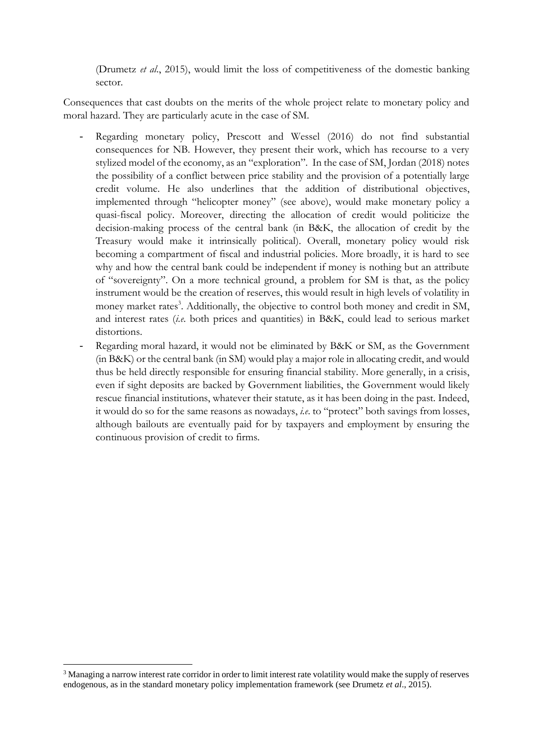(Drumetz *et al*., 2015), would limit the loss of competitiveness of the domestic banking sector.

Consequences that cast doubts on the merits of the whole project relate to monetary policy and moral hazard. They are particularly acute in the case of SM.

- Regarding monetary policy, Prescott and Wessel (2016) do not find substantial consequences for NB. However, they present their work, which has recourse to a very stylized model of the economy, as an "exploration". In the case of SM, Jordan (2018) notes the possibility of a conflict between price stability and the provision of a potentially large credit volume. He also underlines that the addition of distributional objectives, implemented through "helicopter money" (see above), would make monetary policy a quasi-fiscal policy. Moreover, directing the allocation of credit would politicize the decision-making process of the central bank (in B&K, the allocation of credit by the Treasury would make it intrinsically political). Overall, monetary policy would risk becoming a compartment of fiscal and industrial policies. More broadly, it is hard to see why and how the central bank could be independent if money is nothing but an attribute of "sovereignty". On a more technical ground, a problem for SM is that, as the policy instrument would be the creation of reserves, this would result in high levels of volatility in money market rates<sup>3</sup>. Additionally, the objective to control both money and credit in SM, and interest rates (*i.e*. both prices and quantities) in B&K, could lead to serious market distortions.
- Regarding moral hazard, it would not be eliminated by B&K or SM, as the Government (in B&K) or the central bank (in SM) would play a major role in allocating credit, and would thus be held directly responsible for ensuring financial stability. More generally, in a crisis, even if sight deposits are backed by Government liabilities, the Government would likely rescue financial institutions, whatever their statute, as it has been doing in the past. Indeed, it would do so for the same reasons as nowadays, *i.e*. to "protect" both savings from losses, although bailouts are eventually paid for by taxpayers and employment by ensuring the continuous provision of credit to firms.

 $\overline{\phantom{a}}$ 

<sup>3</sup> Managing a narrow interest rate corridor in order to limit interest rate volatility would make the supply of reserves endogenous, as in the standard monetary policy implementation framework (see Drumetz *et al*., 2015).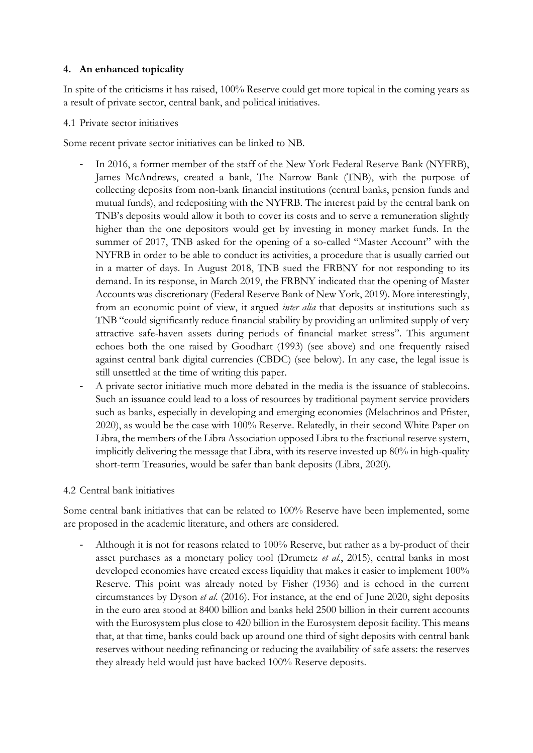#### **4. An enhanced topicality**

In spite of the criticisms it has raised, 100% Reserve could get more topical in the coming years as a result of private sector, central bank, and political initiatives.

#### 4.1 Private sector initiatives

Some recent private sector initiatives can be linked to NB.

- In 2016, a former member of the staff of the New York Federal Reserve Bank (NYFRB), James McAndrews, created a bank, The Narrow Bank (TNB), with the purpose of collecting deposits from non-bank financial institutions (central banks, pension funds and mutual funds), and redepositing with the NYFRB. The interest paid by the central bank on TNB's deposits would allow it both to cover its costs and to serve a remuneration slightly higher than the one depositors would get by investing in money market funds. In the summer of 2017, TNB asked for the opening of a so-called "Master Account" with the NYFRB in order to be able to conduct its activities, a procedure that is usually carried out in a matter of days. In August 2018, TNB sued the FRBNY for not responding to its demand. In its response, in March 2019, the FRBNY indicated that the opening of Master Accounts was discretionary (Federal Reserve Bank of New York, 2019). More interestingly, from an economic point of view, it argued *inter alia* that deposits at institutions such as TNB "could significantly reduce financial stability by providing an unlimited supply of very attractive safe-haven assets during periods of financial market stress". This argument echoes both the one raised by Goodhart (1993) (see above) and one frequently raised against central bank digital currencies (CBDC) (see below). In any case, the legal issue is still unsettled at the time of writing this paper.
- A private sector initiative much more debated in the media is the issuance of stablecoins. Such an issuance could lead to a loss of resources by traditional payment service providers such as banks, especially in developing and emerging economies (Melachrinos and Pfister, 2020), as would be the case with 100% Reserve. Relatedly, in their second White Paper on Libra, the members of the Libra Association opposed Libra to the fractional reserve system, implicitly delivering the message that Libra, with its reserve invested up 80% in high-quality short-term Treasuries, would be safer than bank deposits (Libra, 2020).

#### 4.2 Central bank initiatives

Some central bank initiatives that can be related to 100% Reserve have been implemented, some are proposed in the academic literature, and others are considered.

- Although it is not for reasons related to 100% Reserve, but rather as a by-product of their asset purchases as a monetary policy tool (Drumetz *et al*., 2015), central banks in most developed economies have created excess liquidity that makes it easier to implement 100% Reserve. This point was already noted by Fisher (1936) and is echoed in the current circumstances by Dyson *et al*. (2016). For instance, at the end of June 2020, sight deposits in the euro area stood at 8400 billion and banks held 2500 billion in their current accounts with the Eurosystem plus close to 420 billion in the Eurosystem deposit facility. This means that, at that time, banks could back up around one third of sight deposits with central bank reserves without needing refinancing or reducing the availability of safe assets: the reserves they already held would just have backed 100% Reserve deposits.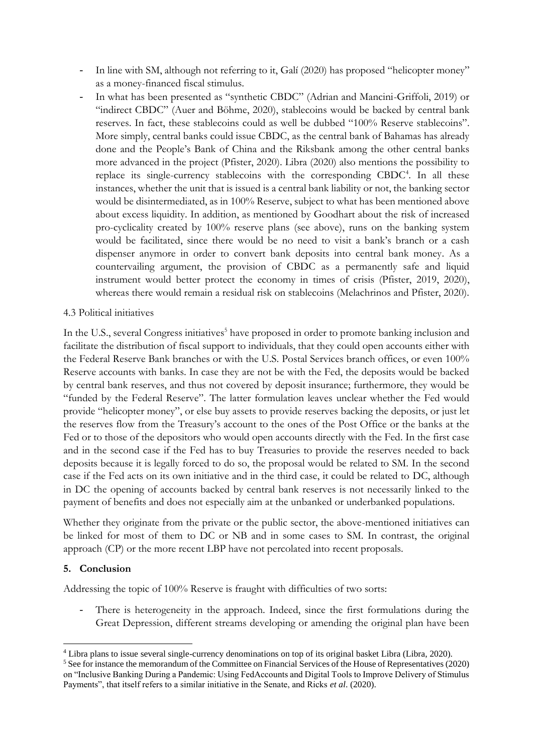- In line with SM, although not referring to it, Galí (2020) has proposed "helicopter money" as a money-financed fiscal stimulus.
- In what has been presented as "synthetic CBDC" (Adrian and Mancini-Griffoli, 2019) or "indirect CBDC" (Auer and Böhme, 2020), stablecoins would be backed by central bank reserves. In fact, these stablecoins could as well be dubbed "100% Reserve stablecoins". More simply, central banks could issue CBDC, as the central bank of Bahamas has already done and the People's Bank of China and the Riksbank among the other central banks more advanced in the project (Pfister, 2020). Libra (2020) also mentions the possibility to replace its single-currency stablecoins with the corresponding CBDC<sup>4</sup>. In all these instances, whether the unit that is issued is a central bank liability or not, the banking sector would be disintermediated, as in 100% Reserve, subject to what has been mentioned above about excess liquidity. In addition, as mentioned by Goodhart about the risk of increased pro-cyclicality created by 100% reserve plans (see above), runs on the banking system would be facilitated, since there would be no need to visit a bank's branch or a cash dispenser anymore in order to convert bank deposits into central bank money. As a countervailing argument, the provision of CBDC as a permanently safe and liquid instrument would better protect the economy in times of crisis (Pfister, 2019, 2020), whereas there would remain a residual risk on stablecoins (Melachrinos and Pfister, 2020).

#### 4.3 Political initiatives

In the U.S., several Congress initiatives<sup>5</sup> have proposed in order to promote banking inclusion and facilitate the distribution of fiscal support to individuals, that they could open accounts either with the Federal Reserve Bank branches or with the U.S. Postal Services branch offices, or even 100% Reserve accounts with banks. In case they are not be with the Fed, the deposits would be backed by central bank reserves, and thus not covered by deposit insurance; furthermore, they would be "funded by the Federal Reserve". The latter formulation leaves unclear whether the Fed would provide "helicopter money", or else buy assets to provide reserves backing the deposits, or just let the reserves flow from the Treasury's account to the ones of the Post Office or the banks at the Fed or to those of the depositors who would open accounts directly with the Fed. In the first case and in the second case if the Fed has to buy Treasuries to provide the reserves needed to back deposits because it is legally forced to do so, the proposal would be related to SM. In the second case if the Fed acts on its own initiative and in the third case, it could be related to DC, although in DC the opening of accounts backed by central bank reserves is not necessarily linked to the payment of benefits and does not especially aim at the unbanked or underbanked populations.

Whether they originate from the private or the public sector, the above-mentioned initiatives can be linked for most of them to DC or NB and in some cases to SM. In contrast, the original approach (CP) or the more recent LBP have not percolated into recent proposals.

#### **5. Conclusion**

Addressing the topic of 100% Reserve is fraught with difficulties of two sorts:

There is heterogeneity in the approach. Indeed, since the first formulations during the Great Depression, different streams developing or amending the original plan have been

**<sup>.</sup>** <sup>4</sup> Libra plans to issue several single-currency denominations on top of its original basket Libra (Libra, 2020).

<sup>&</sup>lt;sup>5</sup> See for instance the memorandum of the Committee on Financial Services of the House of Representatives (2020) on "Inclusive Banking During a Pandemic: Using FedAccounts and Digital Tools to Improve Delivery of Stimulus Payments", that itself refers to a similar initiative in the Senate, and Ricks *et al*. (2020).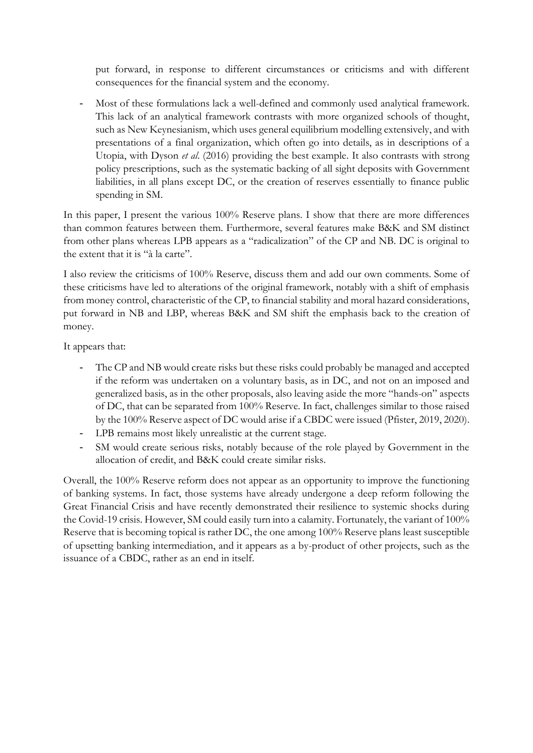put forward, in response to different circumstances or criticisms and with different consequences for the financial system and the economy.

Most of these formulations lack a well-defined and commonly used analytical framework. This lack of an analytical framework contrasts with more organized schools of thought, such as New Keynesianism, which uses general equilibrium modelling extensively, and with presentations of a final organization, which often go into details, as in descriptions of a Utopia, with Dyson *et al*. (2016) providing the best example. It also contrasts with strong policy prescriptions, such as the systematic backing of all sight deposits with Government liabilities, in all plans except DC, or the creation of reserves essentially to finance public spending in SM.

In this paper, I present the various 100% Reserve plans. I show that there are more differences than common features between them. Furthermore, several features make B&K and SM distinct from other plans whereas LPB appears as a "radicalization" of the CP and NB. DC is original to the extent that it is "à la carte".

I also review the criticisms of 100% Reserve, discuss them and add our own comments. Some of these criticisms have led to alterations of the original framework, notably with a shift of emphasis from money control, characteristic of the CP, to financial stability and moral hazard considerations, put forward in NB and LBP, whereas B&K and SM shift the emphasis back to the creation of money.

It appears that:

- The CP and NB would create risks but these risks could probably be managed and accepted if the reform was undertaken on a voluntary basis, as in DC, and not on an imposed and generalized basis, as in the other proposals, also leaving aside the more "hands-on" aspects of DC, that can be separated from 100% Reserve. In fact, challenges similar to those raised by the 100% Reserve aspect of DC would arise if a CBDC were issued (Pfister, 2019, 2020).
- LPB remains most likely unrealistic at the current stage.
- SM would create serious risks, notably because of the role played by Government in the allocation of credit, and B&K could create similar risks.

Overall, the 100% Reserve reform does not appear as an opportunity to improve the functioning of banking systems. In fact, those systems have already undergone a deep reform following the Great Financial Crisis and have recently demonstrated their resilience to systemic shocks during the Covid-19 crisis. However, SM could easily turn into a calamity. Fortunately, the variant of 100% Reserve that is becoming topical is rather DC, the one among 100% Reserve plans least susceptible of upsetting banking intermediation, and it appears as a by-product of other projects, such as the issuance of a CBDC, rather as an end in itself.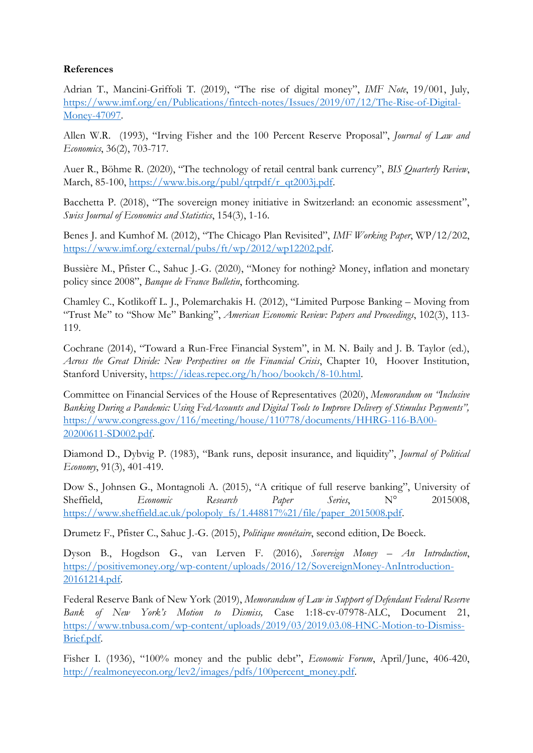#### **References**

Adrian T., Mancini-Griffoli T. (2019), "The rise of digital money", *IMF Note*, 19/001, July, [https://www.imf.org/en/Publications/fintech-notes/Issues/2019/07/12/The-Rise-of-Digital-](https://www.imf.org/en/Publications/fintech-notes/Issues/2019/07/12/The-Rise-of-Digital-Money-47097)[Money-47097.](https://www.imf.org/en/Publications/fintech-notes/Issues/2019/07/12/The-Rise-of-Digital-Money-47097)

Allen W.R. (1993), "Irving Fisher and the 100 Percent Reserve Proposal", *Journal of Law and Economics*, 36(2), 703-717.

Auer R., Böhme R. (2020), "The technology of retail central bank currency", *BIS Quarterly Review*, March, 85-100, [https://www.bis.org/publ/qtrpdf/r\\_qt2003j.pdf.](https://www.bis.org/publ/qtrpdf/r_qt2003j.pdf)

Bacchetta P. (2018), "The sovereign money initiative in Switzerland: an economic assessment", *Swiss Journal of Economics and Statistics*, 154(3), 1-16.

Benes J. and Kumhof M. (2012), "The Chicago Plan Revisited", *IMF Working Paper*, WP/12/202, [https://www.imf.org/external/pubs/ft/wp/2012/wp12202.pdf.](https://www.imf.org/external/pubs/ft/wp/2012/wp12202.pdf)

Bussière M., Pfister C., Sahuc J.-G. (2020), "Money for nothing? Money, inflation and monetary policy since 2008", *Banque de France Bulletin*, forthcoming.

Chamley C., Kotlikoff L. J., Polemarchakis H. (2012), "Limited Purpose Banking – Moving from "Trust Me'' to "Show Me'' Banking", *American Economic Review: Papers and Proceedings*, 102(3), 113- 119.

Cochrane (2014), "Toward a Run-Free Financial System", in M. N. Baily and J. B. Taylor (ed.), *Across the Great Divide: New Perspectives on the Financial Crisis*, Chapter 10, Hoover Institution, Stanford University, [https://ideas.repec.org/h/hoo/bookch/8-10.html.](https://ideas.repec.org/h/hoo/bookch/8-10.html)

Committee on Financial Services of the House of Representatives (2020), *Memorandum on "Inclusive Banking During a Pandemic: Using FedAccounts and Digital Tools to Improve Delivery of Stimulus Payments",* [https://www.congress.gov/116/meeting/house/110778/documents/HHRG-116-BA00-](https://www.congress.gov/116/meeting/house/110778/documents/HHRG-116-BA00-20200611-SD002.pdf) [20200611-SD002.pdf.](https://www.congress.gov/116/meeting/house/110778/documents/HHRG-116-BA00-20200611-SD002.pdf)

Diamond D., Dybvig P. (1983), "Bank runs, deposit insurance, and liquidity", *Journal of Political Economy*, 91(3), 401-419.

Dow S., Johnsen G., Montagnoli A. (2015), "A critique of full reserve banking", University of Sheffield, *Economic Research Paper Series*, N° 2015008, [https://www.sheffield.ac.uk/polopoly\\_fs/1.448817%21/file/paper\\_2015008.pdf.](https://www.sheffield.ac.uk/polopoly_fs/1.448817%21/file/paper_2015008.pdf)

Drumetz F., Pfister C., Sahuc J.-G. (2015), *Politique monétaire*, second edition, De Boeck.

Dyson B., Hogdson G., van Lerven F. (2016), *Sovereign Money – An Introduction*, [https://positivemoney.org/wp-content/uploads/2016/12/SovereignMoney-AnIntroduction-](https://positivemoney.org/wp-content/uploads/2016/12/SovereignMoney-AnIntroduction-20161214.pdf)[20161214.pdf.](https://positivemoney.org/wp-content/uploads/2016/12/SovereignMoney-AnIntroduction-20161214.pdf)

Federal Reserve Bank of New York (2019), *Memorandum of Law in Support of Defendant Federal Reserve Bank of New York's Motion to Dismiss,* Case 1:18-cv-07978-ALC, Document 21, [https://www.tnbusa.com/wp-content/uploads/2019/03/2019.03.08-HNC-Motion-to-Dismiss-](https://www.tnbusa.com/wp-content/uploads/2019/03/2019.03.08-HNC-Motion-to-Dismiss-Brief.pdf)[Brief.pdf.](https://www.tnbusa.com/wp-content/uploads/2019/03/2019.03.08-HNC-Motion-to-Dismiss-Brief.pdf)

Fisher I. (1936), "100% money and the public debt", *Economic Forum*, April/June, 406-420, [http://realmoneyecon.org/lev2/images/pdfs/100percent\\_money.pdf.](http://realmoneyecon.org/lev2/images/pdfs/100percent_money.pdf)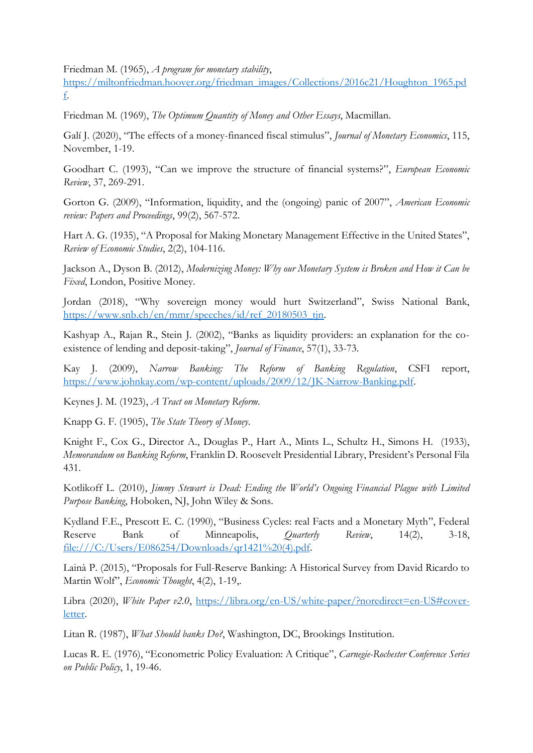Friedman M. (1965), *A program for monetary stability*,

[https://miltonfriedman.hoover.org/friedman\\_images/Collections/2016c21/Houghton\\_1965.pd](https://miltonfriedman.hoover.org/friedman_images/Collections/2016c21/Houghton_1965.pdf) [f.](https://miltonfriedman.hoover.org/friedman_images/Collections/2016c21/Houghton_1965.pdf)

Friedman M. (1969), *The Optimum Quantity of Money and Other Essays*, Macmillan.

Galí J. (2020), "The effects of a money-financed fiscal stimulus", *Journal of Monetary Economics*, 115, November, 1-19.

Goodhart C. (1993), "Can we improve the structure of financial systems?", *European Economic Review*, 37, 269-291.

Gorton G. (2009), "Information, liquidity, and the (ongoing) panic of 2007", *American Economic review: Papers and Proceedings*, 99(2), 567-572.

Hart A. G. (1935), "A Proposal for Making Monetary Management Effective in the United States", *Review of Economic Studies*, 2(2), 104-116.

Jackson A., Dyson B. (2012), *Modernizing Money: Why our Monetary System is Broken and How it Can be Fixed*, London, Positive Money.

Jordan (2018), "Why sovereign money would hurt Switzerland", Swiss National Bank, [https://www.snb.ch/en/mmr/speeches/id/ref\\_20180503\\_tjn.](https://www.snb.ch/en/mmr/speeches/id/ref_20180503_tjn)

Kashyap A., Rajan R., Stein J. (2002), "Banks as liquidity providers: an explanation for the coexistence of lending and deposit-taking", *Journal of Finance*, 57(1), 33-73.

Kay J. (2009), *Narrow Banking: The Reform of Banking Regulation*, CSFI report, [https://www.johnkay.com/wp-content/uploads/2009/12/JK-Narrow-Banking.pdf.](https://www.johnkay.com/wp-content/uploads/2009/12/JK-Narrow-Banking.pdf)

Keynes J. M. (1923), *A Tract on Monetary Reform*.

Knapp G. F. (1905), *The State Theory of Money*.

Knight F., Cox G., Director A., Douglas P., Hart A., Mints L., Schultz H., Simons H. (1933), *Memorandum on Banking Reform*, Franklin D. Roosevelt Presidential Library, President's Personal Fila 431.

Kotlikoff L. (2010), *Jimmy Stewart is Dead: Ending the World's Ongoing Financial Plague with Limited Purpose Banking*, Hoboken, NJ, John Wiley & Sons.

Kydland F.E., Prescott E. C. (1990), "Business Cycles: real Facts and a Monetary Myth", Federal Reserve Bank of Minneapolis, *Quarterly Review*, 14(2), 3-18, [file:///C:/Users/E086254/Downloads/qr1421%20\(4\).pdf.](file:///C:/Users/E086254/Downloads/qr1421%20(4).pdf)

Lainà P. (2015), "Proposals for Full-Reserve Banking: A Historical Survey from David Ricardo to Martin Wolf", *Economic Thought*, 4(2), 1-19,.

Libra (2020), *White Paper v2.0*, [https://libra.org/en-US/white-paper/?noredirect=en-US#cover](https://libra.org/en-US/white-paper/?noredirect=en-US#cover-letter)[letter.](https://libra.org/en-US/white-paper/?noredirect=en-US#cover-letter)

Litan R. (1987), *What Should banks Do?*, Washington, DC, Brookings Institution.

Lucas R. E. (1976), "Econometric Policy Evaluation: A Critique", *Carnegie-Rochester Conference Series on Public Policy*, 1, 19-46.